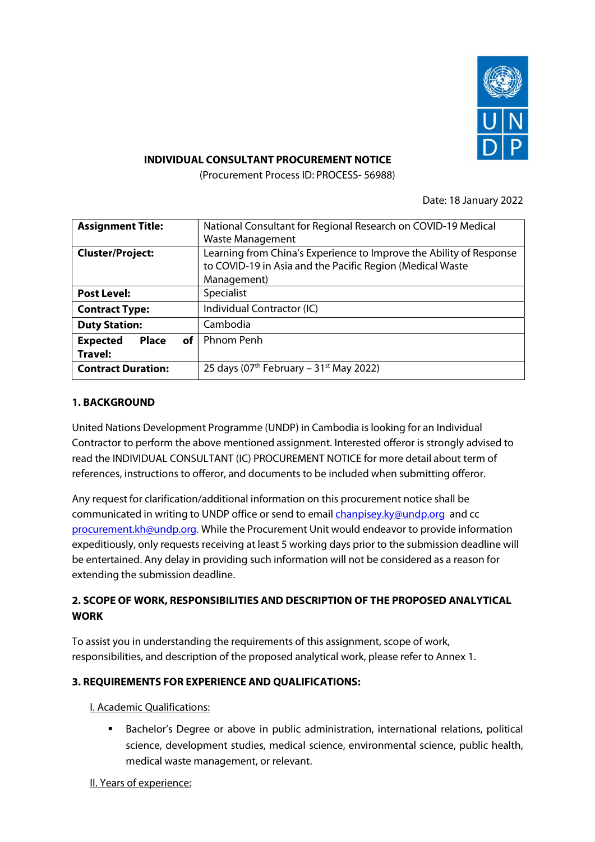

### INDIVIDUAL CONSULTANT PROCUREMENT NOTICE

(Procurement Process ID: PROCESS- 56988)

Date: 18 January 2022

| National Consultant for Regional Research on COVID-19 Medical       |
|---------------------------------------------------------------------|
| <b>Waste Management</b>                                             |
| Learning from China's Experience to Improve the Ability of Response |
| to COVID-19 in Asia and the Pacific Region (Medical Waste           |
| Management)                                                         |
| Specialist                                                          |
| Individual Contractor (IC)                                          |
| Cambodia                                                            |
| <b>Phnom Penh</b>                                                   |
|                                                                     |
| 25 days ( $07th$ February – 31 <sup>st</sup> May 2022)              |
|                                                                     |

### 1. BACKGROUND

United Nations Development Programme (UNDP) in Cambodia is looking for an Individual Contractor to perform the above mentioned assignment. Interested offeror is strongly advised to read the INDIVIDUAL CONSULTANT (IC) PROCUREMENT NOTICE for more detail about term of references, instructions to offeror, and documents to be included when submitting offeror.

Any request for clarification/additional information on this procurement notice shall be communicated in writing to UNDP office or send to email *chanpisey.ky@undp.org* and cc procurement.kh@undp.org. While the Procurement Unit would endeavor to provide information expeditiously, only requests receiving at least 5 working days prior to the submission deadline will be entertained. Any delay in providing such information will not be considered as a reason for extending the submission deadline.

# 2. SCOPE OF WORK, RESPONSIBILITIES AND DESCRIPTION OF THE PROPOSED ANALYTICAL WORK

To assist you in understanding the requirements of this assignment, scope of work, responsibilities, and description of the proposed analytical work, please refer to Annex 1.

## 3. REQUIREMENTS FOR EXPERIENCE AND QUALIFICATIONS:

#### I. Academic Qualifications:

**Bachelor's Degree or above in public administration, international relations, political** science, development studies, medical science, environmental science, public health, medical waste management, or relevant.

II. Years of experience: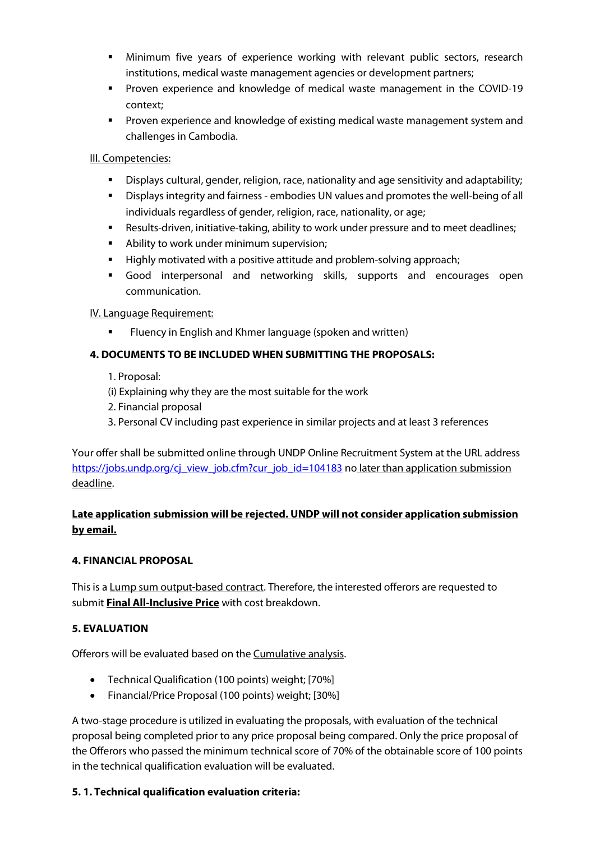- Minimum five years of experience working with relevant public sectors, research institutions, medical waste management agencies or development partners;
- Proven experience and knowledge of medical waste management in the COVID-19 context;
- Proven experience and knowledge of existing medical waste management system and challenges in Cambodia.

### III. Competencies:

- Displays cultural, gender, religion, race, nationality and age sensitivity and adaptability;
- Displays integrity and fairness embodies UN values and promotes the well-being of all individuals regardless of gender, religion, race, nationality, or age;
- Results-driven, initiative-taking, ability to work under pressure and to meet deadlines;
- Ability to work under minimum supervision;
- Highly motivated with a positive attitude and problem-solving approach;
- Good interpersonal and networking skills, supports and encourages open communication.

IV. Language Requirement:

**FILUENCY IS ENGLISH AND KYTTE AND ADAM** FILUENCE FILUENCE FILUEN

## 4. DOCUMENTS TO BE INCLUDED WHEN SUBMITTING THE PROPOSALS:

- 1. Proposal:
- (i) Explaining why they are the most suitable for the work
- 2. Financial proposal
- 3. Personal CV including past experience in similar projects and at least 3 references

Your offer shall be submitted online through UNDP Online Recruitment System at the URL address https://jobs.undp.org/cj\_view\_job.cfm?cur\_job\_id=104183 no later than application submission deadline.

# Late application submission will be rejected. UNDP will not consider application submission by email.

## 4. FINANCIAL PROPOSAL

This is a Lump sum output-based contract. Therefore, the interested offerors are requested to submit Final All-Inclusive Price with cost breakdown.

## 5. EVALUATION

Offerors will be evaluated based on the Cumulative analysis.

- Technical Qualification (100 points) weight; [70%]
- Financial/Price Proposal (100 points) weight; [30%]

A two-stage procedure is utilized in evaluating the proposals, with evaluation of the technical proposal being completed prior to any price proposal being compared. Only the price proposal of the Offerors who passed the minimum technical score of 70% of the obtainable score of 100 points in the technical qualification evaluation will be evaluated.

## 5. 1. Technical qualification evaluation criteria: